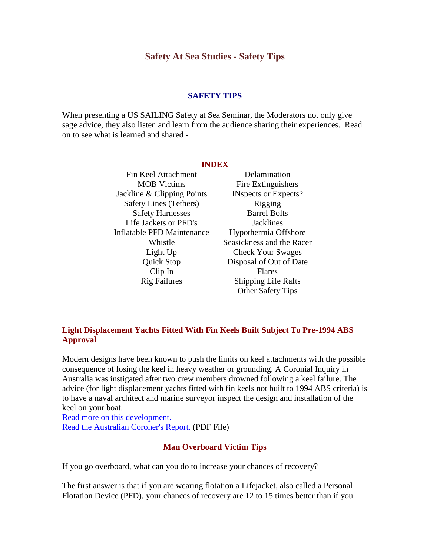# **Safety At Sea Studies - Safety Tips**

### **SAFETY TIPS**

When presenting a US SAILING Safety at Sea Seminar, the Moderators not only give sage advice, they also listen and learn from the audience sharing their experiences. Read on to see what is learned and shared -

#### **INDEX**

Fin Keel Attachment MOB Victims Jackline & Clipping Points Safety Lines (Tethers) Safety Harnesses Life Jackets or PFD's Inflatable PFD Maintenance Whistle Light Up Quick Stop Clip In Rig Failures

[Delamination](http://www.ussailing.org/safety/Studies/safety_tips_2.asp#DELAMINATION) Fire Extinguishers INspects or Expects? Rigging Barrel Bolts **[Jacklines](http://www.ussailing.org/safety/Studies/safety_tips_2.asp#Jacklines)** Hypothermia Offshore Seasickness and the Racer Check Your Swages Disposal of Out of Date Flares Shipping Life Rafts Other Safety Tips

## **Light Displacement Yachts Fitted With Fin Keels Built Subject To Pre-1994 ABS Approval**

Modern designs have been known to push the limits on keel attachments with the possible consequence of losing the keel in heavy weather or grounding. A Coronial Inquiry in Australia was instigated after two crew members drowned following a keel failure. The advice (for light displacement yachts fitted with fin keels not built to 1994 ABS criteria) is to have a naval architect and marine surveyor inspect the design and installation of the keel on your boat.

Read more on this development. Read the Australian Coroner's Report. (PDF File)

### **Man Overboard Victim Tips**

If you go overboard, what can you do to increase your chances of recovery?

The first answer is that if you are wearing flotation a Lifejacket, also called a Personal Flotation Device (PFD), your chances of recovery are 12 to 15 times better than if you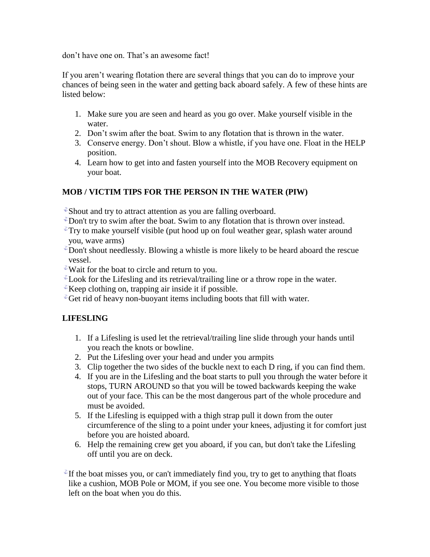don't have one on. That's an awesome fact!

If you aren't wearing flotation there are several things that you can do to improve your chances of being seen in the water and getting back aboard safely. A few of these hints are listed below:

- 1. Make sure you are seen and heard as you go over. Make yourself visible in the water.
- 2. Don't swim after the boat. Swim to any flotation that is thrown in the water.
- 3. Conserve energy. Don't shout. Blow a whistle, if you have one. Float in the HELP position.
- 4. Learn how to get into and fasten yourself into the MOB Recovery equipment on your boat.

# **MOB / VICTIM TIPS FOR THE PERSON IN THE WATER (PIW)**

- $\mathcal{E}$ Shout and try to attract attention as you are falling overboard.
- $\Phi$ Don't try to swim after the boat. Swim to any flotation that is thrown over instead.
- $\mathbb{Z}$ Try to make yourself visible (put hood up on foul weather gear, splash water around you, wave arms)
- $\sqrt[n]{\ }$ Don't shout needlessly. Blowing a whistle is more likely to be heard aboard the rescue vessel.
- $\ell$ Wait for the boat to circle and return to you.
- $\ell$  Look for the Lifesling and its retrieval/trailing line or a throw rope in the water.
- $\ell$ Keep clothing on, trapping air inside it if possible.
- $\mathcal{F}$ Get rid of heavy non-buoyant items including boots that fill with water.

# **LIFESLING**

- 1. If a Lifesling is used let the retrieval/trailing line slide through your hands until you reach the knots or bowline.
- 2. Put the Lifesling over your head and under you armpits
- 3. Clip together the two sides of the buckle next to each D ring, if you can find them.
- 4. If you are in the Lifesling and the boat starts to pull you through the water before it stops, TURN AROUND so that you will be towed backwards keeping the wake out of your face. This can be the most dangerous part of the whole procedure and must be avoided.
- 5. If the Lifesling is equipped with a thigh strap pull it down from the outer circumference of the sling to a point under your knees, adjusting it for comfort just before you are hoisted aboard.
- 6. Help the remaining crew get you aboard, if you can, but don't take the Lifesling off until you are on deck.

 $\mathbb{Z}$  If the boat misses you, or can't immediately find you, try to get to anything that floats like a cushion, MOB Pole or MOM, if you see one. You become more visible to those left on the boat when you do this.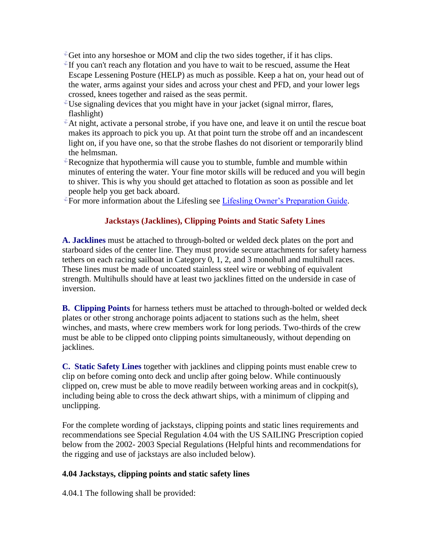- $\mathcal{F}_{\mathbf{G}}$ Get into any horseshoe or MOM and clip the two sides together, if it has clips.
- $\mathbb{Z}$ If you can't reach any flotation and you have to wait to be rescued, assume the Heat Escape Lessening Posture (HELP) as much as possible. Keep a hat on, your head out of the water, arms against your sides and across your chest and PFD, and your lower legs crossed, knees together and raised as the seas permit.
- Use signaling devices that you might have in your jacket (signal mirror, flares, flashlight)
- ${}^{\circ}$ At night, activate a personal strobe, if you have one, and leave it on until the rescue boat makes its approach to pick you up. At that point turn the strobe off and an incandescent light on, if you have one, so that the strobe flashes do not disorient or temporarily blind the helmsman.
- $\ell$ Recognize that hypothermia will cause you to stumble, fumble and mumble within minutes of entering the water. Your fine motor skills will be reduced and you will begin to shiver. This is why you should get attached to flotation as soon as possible and let people help you get back aboard.
- $\mathcal{F}$  For more information about the Lifesling see [Lifesling Owner's Preparation Guide.](http://www.ussailing.org/safety/Studies/2001_bc1.asp)

## **Jackstays (Jacklines), Clipping Points and Static Safety Lines**

**A. Jacklines** must be attached to through-bolted or welded deck plates on the port and starboard sides of the center line. They must provide secure attachments for safety harness tethers on each racing sailboat in Category 0, 1, 2, and 3 monohull and multihull races. These lines must be made of uncoated stainless steel wire or webbing of equivalent strength. Multihulls should have at least two jacklines fitted on the underside in case of inversion.

**B. Clipping Points** for harness tethers must be attached to through-bolted or welded deck plates or other strong anchorage points adjacent to stations such as the helm, sheet winches, and masts, where crew members work for long periods. Two-thirds of the crew must be able to be clipped onto clipping points simultaneously, without depending on jacklines.

**C. Static Safety Lines** together with jacklines and clipping points must enable crew to clip on before coming onto deck and unclip after going below. While continuously clipped on, crew must be able to move readily between working areas and in cockpit(s), including being able to cross the deck athwart ships, with a minimum of clipping and unclipping.

For the complete wording of jackstays, clipping points and static lines requirements and recommendations see Special Regulation 4.04 with the US SAILING Prescription copied below from the 2002- 2003 Special Regulations (Helpful hints and recommendations for the rigging and use of jackstays are also included below).

### **4.04 Jackstays, clipping points and static safety lines**

4.04.1 The following shall be provided: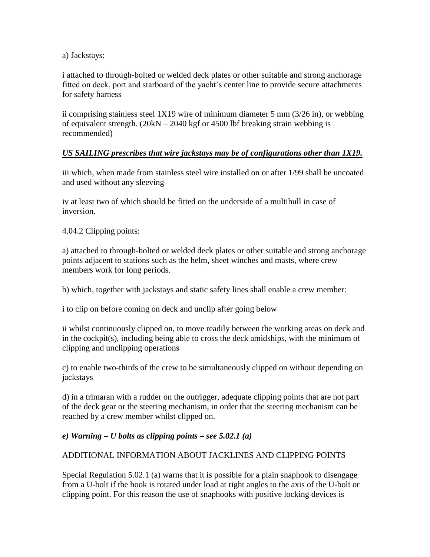a) Jackstays:

i attached to through-bolted or welded deck plates or other suitable and strong anchorage fitted on deck, port and starboard of the yacht's center line to provide secure attachments for safety harness

ii comprising stainless steel 1X19 wire of minimum diameter 5 mm (3/26 in), or webbing of equivalent strength. (20kN – 2040 kgf or 4500 lbf breaking strain webbing is recommended)

# *US SAILING prescribes that wire jackstays may be of configurations other than 1X19.*

iii which, when made from stainless steel wire installed on or after 1/99 shall be uncoated and used without any sleeving

iv at least two of which should be fitted on the underside of a multihull in case of inversion.

4.04.2 Clipping points:

a) attached to through-bolted or welded deck plates or other suitable and strong anchorage points adjacent to stations such as the helm, sheet winches and masts, where crew members work for long periods.

b) which, together with jackstays and static safety lines shall enable a crew member:

i to clip on before coming on deck and unclip after going below

ii whilst continuously clipped on, to move readily between the working areas on deck and in the cockpit(s), including being able to cross the deck amidships, with the minimum of clipping and unclipping operations

c) to enable two-thirds of the crew to be simultaneously clipped on without depending on jackstays

d) in a trimaran with a rudder on the outrigger, adequate clipping points that are not part of the deck gear or the steering mechanism, in order that the steering mechanism can be reached by a crew member whilst clipped on.

## *e) Warning – U bolts as clipping points – see 5.02.1 (a)*

## ADDITIONAL INFORMATION ABOUT JACKLINES AND CLIPPING POINTS

Special Regulation 5.02.1 (a) warns that it is possible for a plain snaphook to disengage from a U-bolt if the hook is rotated under load at right angles to the axis of the U-bolt or clipping point. For this reason the use of snaphooks with positive locking devices is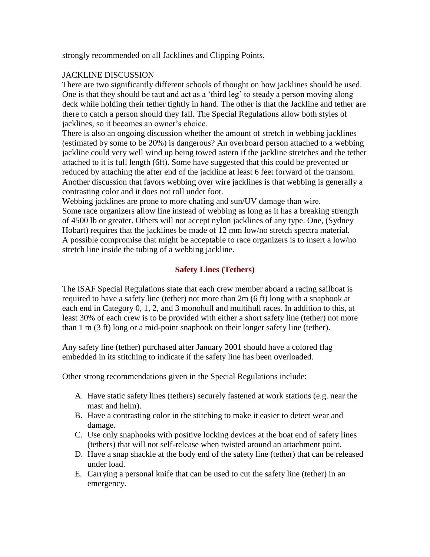strongly recommended on all Jacklines and Clipping Points.

# JACKLINE DISCUSSION

There are two significantly different schools of thought on how jacklines should be used. One is that they should be taut and act as a 'third leg' to steady a person moving along deck while holding their tether tightly in hand. The other is that the Jackline and tether are there to catch a person should they fall. The Special Regulations allow both styles of jacklines, so it becomes an owner's choice.

There is also an ongoing discussion whether the amount of stretch in webbing jacklines (estimated by some to be 20%) is dangerous? An overboard person attached to a webbing jackline could very well wind up being towed astern if the jackline stretches and the tether attached to it is full length (6ft). Some have suggested that this could be prevented or reduced by attaching the after end of the jackline at least 6 feet forward of the transom. Another discussion that favors webbing over wire jacklines is that webbing is generally a contrasting color and it does not roll under foot.

Webbing jacklines are prone to more chafing and sun/UV damage than wire. Some race organizers allow line instead of webbing as long as it has a breaking strength of 4500 lb or greater. Others will not accept nylon jacklines of any type. One, (Sydney Hobart) requires that the jacklines be made of 12 mm low/no stretch spectra material. A possible compromise that might be acceptable to race organizers is to insert a low/no stretch line inside the tubing of a webbing jackline.

# **Safety Lines (Tethers)**

The ISAF Special Regulations state that each crew member aboard a racing sailboat is required to have a safety line (tether) not more than 2m (6 ft) long with a snaphook at each end in Category 0, 1, 2, and 3 monohull and multihull races. In addition to this, at least 30% of each crew is to be provided with either a short safety line (tether) not more than 1 m (3 ft) long or a mid-point snaphook on their longer safety line (tether).

Any safety line (tether) purchased after January 2001 should have a colored flag embedded in its stitching to indicate if the safety line has been overloaded.

Other strong recommendations given in the Special Regulations include:

- A. Have static safety lines (tethers) securely fastened at work stations (e.g. near the mast and helm).
- B. Have a contrasting color in the stitching to make it easier to detect wear and damage.
- C. Use only snaphooks with positive locking devices at the boat end of safety lines (tethers) that will not self-release when twisted around an attachment point.
- D. Have a snap shackle at the body end of the safety line (tether) that can be released under load.
- E. Carrying a personal knife that can be used to cut the safety line (tether) in an emergency.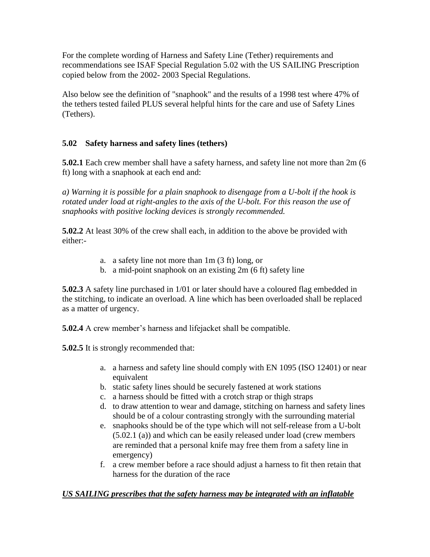For the complete wording of Harness and Safety Line (Tether) requirements and recommendations see ISAF Special Regulation 5.02 with the US SAILING Prescription copied below from the 2002- 2003 Special Regulations.

Also below see the definition of "snaphook" and the results of a 1998 test where 47% of the tethers tested failed PLUS several helpful hints for the care and use of Safety Lines (Tethers).

# **5.02 Safety harness and safety lines (tethers)**

**5.02.1** Each crew member shall have a safety harness, and safety line not more than 2m (6 ft) long with a snaphook at each end and:

*a) Warning it is possible for a plain snaphook to disengage from a U-bolt if the hook is rotated under load at right-angles to the axis of the U-bolt. For this reason the use of snaphooks with positive locking devices is strongly recommended.*

**5.02.2** At least 30% of the crew shall each, in addition to the above be provided with either:-

- a. a safety line not more than 1m (3 ft) long, or
- b. a mid-point snaphook on an existing 2m (6 ft) safety line

**5.02.3** A safety line purchased in 1/01 or later should have a coloured flag embedded in the stitching, to indicate an overload. A line which has been overloaded shall be replaced as a matter of urgency.

**5.02.4** A crew member's harness and lifejacket shall be compatible.

**5.02.5** It is strongly recommended that:

- a. a harness and safety line should comply with EN 1095 (ISO 12401) or near equivalent
- b. static safety lines should be securely fastened at work stations
- c. a harness should be fitted with a crotch strap or thigh straps
- d. to draw attention to wear and damage, stitching on harness and safety lines should be of a colour contrasting strongly with the surrounding material
- e. snaphooks should be of the type which will not self-release from a U-bolt (5.02.1 (a)) and which can be easily released under load (crew members are reminded that a personal knife may free them from a safety line in emergency)
- f. a crew member before a race should adjust a harness to fit then retain that harness for the duration of the race

# *US SAILING prescribes that the safety harness may be integrated with an inflatable*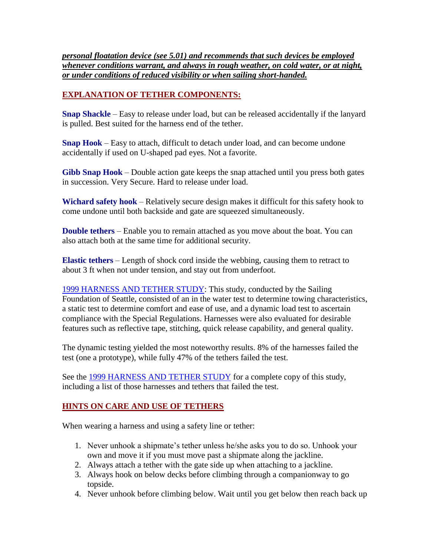*personal floatation device (see 5.01) and recommends that such devices be employed whenever conditions warrant, and always in rough weather, on cold water, or at night, or under conditions of reduced visibility or when sailing short-handed.*

# **EXPLANATION OF TETHER COMPONENTS:**

**Snap Shackle** – Easy to release under load, but can be released accidentally if the lanyard is pulled. Best suited for the harness end of the tether.

**Snap Hook** – Easy to attach, difficult to detach under load, and can become undone accidentally if used on U-shaped pad eyes. Not a favorite.

**Gibb Snap Hook** – Double action gate keeps the snap attached until you press both gates in succession. Very Secure. Hard to release under load.

**Wichard safety hook** – Relatively secure design makes it difficult for this safety hook to come undone until both backside and gate are squeezed simultaneously.

**Double tethers** – Enable you to remain attached as you move about the boat. You can also attach both at the same time for additional security.

**Elastic tethers** – Length of shock cord inside the webbing, causing them to retract to about 3 ft when not under tension, and stay out from underfoot.

[1999 HARNESS AND TETHER STUDY:](http://www.ussailing.org/safety/H&T/harness_study.asp) This study, conducted by the Sailing Foundation of Seattle, consisted of an in the water test to determine towing characteristics, a static test to determine comfort and ease of use, and a dynamic load test to ascertain compliance with the Special Regulations. Harnesses were also evaluated for desirable features such as reflective tape, stitching, quick release capability, and general quality.

The dynamic testing yielded the most noteworthy results. 8% of the harnesses failed the test (one a prototype), while fully 47% of the tethers failed the test.

See the [1999 HARNESS AND TETHER STUDY](http://www.ussailing.org/safety/H&T/harness_study.asp) for a complete copy of this study, including a list of those harnesses and tethers that failed the test.

# **HINTS ON CARE AND USE OF TETHERS**

When wearing a harness and using a safety line or tether:

- 1. Never unhook a shipmate's tether unless he/she asks you to do so. Unhook your own and move it if you must move past a shipmate along the jackline.
- 2. Always attach a tether with the gate side up when attaching to a jackline.
- 3. Always hook on below decks before climbing through a companionway to go topside.
- 4. Never unhook before climbing below. Wait until you get below then reach back up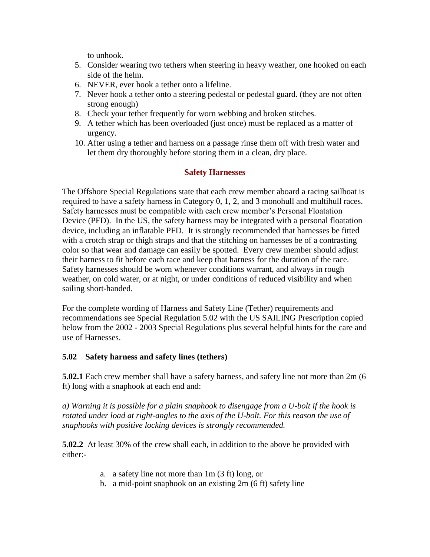to unhook.

- 5. Consider wearing two tethers when steering in heavy weather, one hooked on each side of the helm.
- 6. NEVER, ever hook a tether onto a lifeline.
- 7. Never hook a tether onto a steering pedestal or pedestal guard. (they are not often strong enough)
- 8. Check your tether frequently for worn webbing and broken stitches.
- 9. A tether which has been overloaded (just once) must be replaced as a matter of urgency.
- 10. After using a tether and harness on a passage rinse them off with fresh water and let them dry thoroughly before storing them in a clean, dry place.

## **Safety Harnesses**

The Offshore Special Regulations state that each crew member aboard a racing sailboat is required to have a safety harness in Category 0, 1, 2, and 3 monohull and multihull races. Safety harnesses must be compatible with each crew member's Personal Floatation Device (PFD). In the US, the safety harness may be integrated with a personal floatation device, including an inflatable PFD. It is strongly recommended that harnesses be fitted with a crotch strap or thigh straps and that the stitching on harnesses be of a contrasting color so that wear and damage can easily be spotted. Every crew member should adjust their harness to fit before each race and keep that harness for the duration of the race. Safety harnesses should be worn whenever conditions warrant, and always in rough weather, on cold water, or at night, or under conditions of reduced visibility and when sailing short-handed.

For the complete wording of Harness and Safety Line (Tether) requirements and recommendations see Special Regulation 5.02 with the US SAILING Prescription copied below from the 2002 - 2003 Special Regulations plus several helpful hints for the care and use of Harnesses.

## **5.02 Safety harness and safety lines (tethers)**

**5.02.1** Each crew member shall have a safety harness, and safety line not more than 2m (6 ft) long with a snaphook at each end and:

*a) Warning it is possible for a plain snaphook to disengage from a U-bolt if the hook is rotated under load at right-angles to the axis of the U-bolt. For this reason the use of snaphooks with positive locking devices is strongly recommended.*

**5.02.2** At least 30% of the crew shall each, in addition to the above be provided with either:-

- a. a safety line not more than 1m (3 ft) long, or
- b. a mid-point snaphook on an existing 2m (6 ft) safety line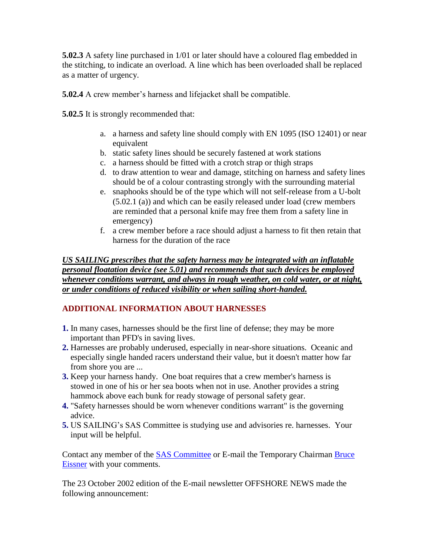**5.02.3** A safety line purchased in 1/01 or later should have a coloured flag embedded in the stitching, to indicate an overload. A line which has been overloaded shall be replaced as a matter of urgency.

**5.02.4** A crew member's harness and lifejacket shall be compatible.

**5.02.5** It is strongly recommended that:

- a. a harness and safety line should comply with EN 1095 (ISO 12401) or near equivalent
- b. static safety lines should be securely fastened at work stations
- c. a harness should be fitted with a crotch strap or thigh straps
- d. to draw attention to wear and damage, stitching on harness and safety lines should be of a colour contrasting strongly with the surrounding material
- e. snaphooks should be of the type which will not self-release from a U-bolt (5.02.1 (a)) and which can be easily released under load (crew members are reminded that a personal knife may free them from a safety line in emergency)
- f. a crew member before a race should adjust a harness to fit then retain that harness for the duration of the race

*US SAILING prescribes that the safety harness may be integrated with an inflatable personal floatation device (see 5.01) and recommends that such devices be employed whenever conditions warrant, and always in rough weather, on cold water, or at night, or under conditions of reduced visibility or when sailing short-handed.*

# **ADDITIONAL INFORMATION ABOUT HARNESSES**

- **1.** In many cases, harnesses should be the first line of defense; they may be more important than PFD's in saving lives.
- **2.** Harnesses are probably underused, especially in near-shore situations. Oceanic and especially single handed racers understand their value, but it doesn't matter how far from shore you are ...
- **3.** Keep your harness handy. One boat requires that a crew member's harness is stowed in one of his or her sea boots when not in use. Another provides a string hammock above each bunk for ready stowage of personal safety gear.
- **4.** "Safety harnesses should be worn whenever conditions warrant" is the governing advice.
- **5.** US SAILING's SAS Committee is studying use and advisories re. harnesses. Your input will be helpful.

Contact any member of the **SAS Committee** or E-mail the Temporary Chairman **Bruce** [Eissner](mailto:beissner@polarcove.com) with your comments.

The 23 October 2002 edition of the E-mail newsletter OFFSHORE NEWS made the following announcement: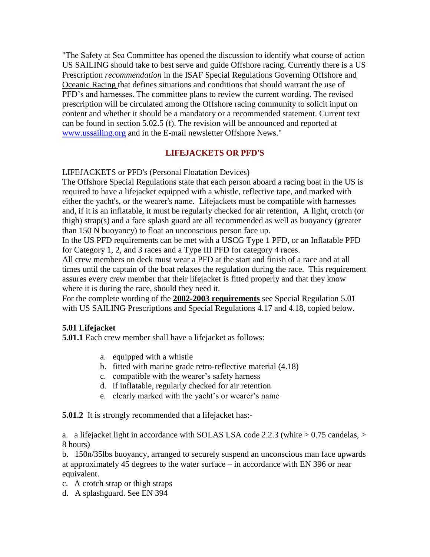"The Safety at Sea Committee has opened the discussion to identify what course of action US SAILING should take to best serve and guide Offshore racing. Currently there is a US Prescription *recommendation* in the ISAF Special Regulations Governing Offshore and Oceanic Racing that defines situations and conditions that should warrant the use of PFD's and harnesses. The committee plans to review the current wording. The revised prescription will be circulated among the Offshore racing community to solicit input on content and whether it should be a mandatory or a recommended statement. Current text can be found in section 5.02.5 (f). The revision will be announced and reported at [www.ussailing.org](http://www.ussailing.org/) and in the E-mail newsletter Offshore News."

## **LIFEJACKETS OR PFD'S**

LIFEJACKETS or PFD's (Personal Floatation Devices)

The Offshore Special Regulations state that each person aboard a racing boat in the US is required to have a lifejacket equipped with a whistle, reflective tape, and marked with either the yacht's, or the wearer's name. Lifejackets must be compatible with harnesses and, if it is an inflatable, it must be regularly checked for air retention, A light, crotch (or thigh) strap(s) and a face splash guard are all recommended as well as buoyancy (greater than 150 N buoyancy) to float an unconscious person face up.

In the US PFD requirements can be met with a USCG Type 1 PFD, or an Inflatable PFD for Category 1, 2, and 3 races and a Type III PFD for category 4 races.

All crew members on deck must wear a PFD at the start and finish of a race and at all times until the captain of the boat relaxes the regulation during the race. This requirement assures every crew member that their lifejacket is fitted properly and that they know where it is during the race, should they need it.

For the complete wording of the **2002-2003 requirements** see Special Regulation 5.01 with US SAILING Prescriptions and Special Regulations 4.17 and 4.18, copied below.

### **5.01 Lifejacket**

**5.01.1** Each crew member shall have a lifejacket as follows:

- a. equipped with a whistle
- b. fitted with marine grade retro-reflective material (4.18)
- c. compatible with the wearer's safety harness
- d. if inflatable, regularly checked for air retention
- e. clearly marked with the yacht's or wearer's name

**5.01.2** It is strongly recommended that a lifejacket has:-

a. a lifejacket light in accordance with SOLAS LSA code 2.2.3 (white > 0.75 candelas, > 8 hours)

b. 150n/35lbs buoyancy, arranged to securely suspend an unconscious man face upwards at approximately 45 degrees to the water surface – in accordance with EN 396 or near equivalent.

c. A crotch strap or thigh straps

d. A splashguard. See EN 394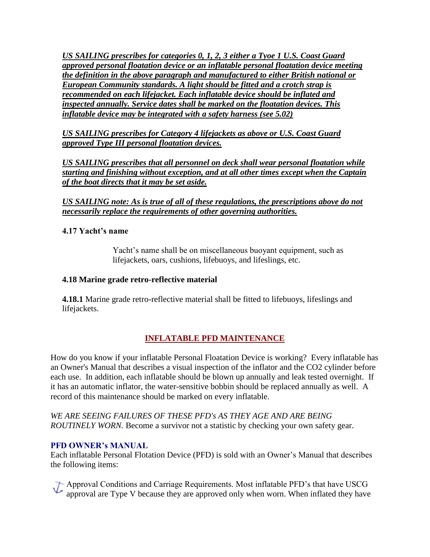*US SAILING prescribes for categories 0, 1, 2, 3 either a Tyoe 1 U.S. Coast Guard approved personal floatation device or an inflatable personal floatation device meeting the definition in the above paragraph and manufactured to either British national or European Community standards. A light should be fitted and a crotch strap is recommended on each lifejacket. Each inflatable device should be inflated and inspected annually. Service dates shall be marked on the floatation devices. This inflatable device may be integrated with a safety harness (see 5.02)*

*US SAILING prescribes for Category 4 lifejackets as above or U.S. Coast Guard approved Type III personal floatation devices.*

*US SAILING prescribes that all personnel on deck shall wear personal floatation while starting and finishing without exception, and at all other times except when the Captain of the boat directs that it may be set aside.*

*US SAILING note: As is true of all of these regulations, the prescriptions above do not necessarily replace the requirements of other governing authorities.*

## **4.17 Yacht's name**

Yacht's name shall be on miscellaneous buoyant equipment, such as lifejackets, oars, cushions, lifebuoys, and lifeslings, etc.

## **4.18 Marine grade retro-reflective material**

**4.18.1** Marine grade retro-reflective material shall be fitted to lifebuoys, lifeslings and lifejackets.

# **[INFLATABLE PFD MAINTENANCE](http://www.ussailing.org/safety/Studies/safety_tips_2.asp#PFD)**

How do you know if your inflatable Personal Floatation Device is working? Every inflatable has an Owner's Manual that describes a visual inspection of the inflator and the CO2 cylinder before each use. In addition, each inflatable should be blown up annually and leak tested overnight. If it has an automatic inflator, the water-sensitive bobbin should be replaced annually as well. A record of this maintenance should be marked on every inflatable.

*WE ARE SEEING FAILURES OF THESE PFD's AS THEY AGE AND ARE BEING ROUTINELY WORN.* Become a survivor not a statistic by checking your own safety gear.

### **PFD OWNER's MANUAL**

Each inflatable Personal Flotation Device (PFD) is sold with an Owner's Manual that describes the following items:

Approval Conditions and Carriage Requirements. Most inflatable PFD's that have USCG<br>approval are Time M because the state of approval are Type V because they are approved only when worn. When inflated they have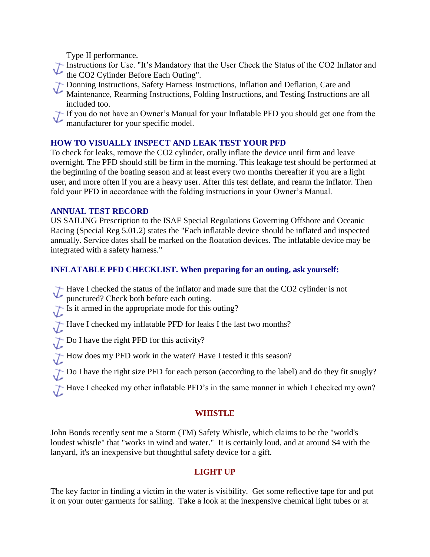Type II performance.

Instructions for Use. "It's Mandatory that the User Check the Status of the CO2 Inflator and the CO2 Cylinder Before Each Outing".

- Donning Instructions, Safety Harness Instructions, Inflation and Deflation, Care and<br>Maintenance Rearming Instructions, F. 11.
	- Maintenance, Rearming Instructions, Folding Instructions, and Testing Instructions are all included too.
- If you do not have an Owner's Manual for your Inflatable PFD you should get one from the manufacturer for your specific model manufacturer for your specific model.

# **HOW TO VISUALLY INSPECT AND LEAK TEST YOUR PFD**

To check for leaks, remove the CO2 cylinder, orally inflate the device until firm and leave overnight. The PFD should still be firm in the morning. This leakage test should be performed at the beginning of the boating season and at least every two months thereafter if you are a light user, and more often if you are a heavy user. After this test deflate, and rearm the inflator. Then fold your PFD in accordance with the folding instructions in your Owner's Manual.

## **ANNUAL TEST RECORD**

US SAILING Prescription to the ISAF Special Regulations Governing Offshore and Oceanic Racing (Special Reg 5.01.2) states the "Each inflatable device should be inflated and inspected annually. Service dates shall be marked on the floatation devices. The inflatable device may be integrated with a safety harness."

# **INFLATABLE PFD CHECKLIST. When preparing for an outing, ask yourself:**

- Have I checked the status of the inflator and made sure that the CO2 cylinder is not
- punctured? Check both before each outing.
- Is it armed in the appropriate mode for this outing?
- Have I checked my inflatable PFD for leaks I the last two months?
- Do I have the right PFD for this activity?
- How does my PFD work in the water? Have I tested it this season?
- Do I have the right size PFD for each person (according to the label) and do they fit snugly?
- Have I checked my other inflatable PFD's in the same manner in which I checked my own?

## **WHISTLE**

John Bonds recently sent me a Storm (TM) Safety Whistle, which claims to be the "world's loudest whistle" that "works in wind and water." It is certainly loud, and at around \$4 with the lanyard, it's an inexpensive but thoughtful safety device for a gift.

# **LIGHT UP**

The key factor in finding a victim in the water is visibility. Get some reflective tape for and put it on your outer garments for sailing. Take a look at the inexpensive chemical light tubes or at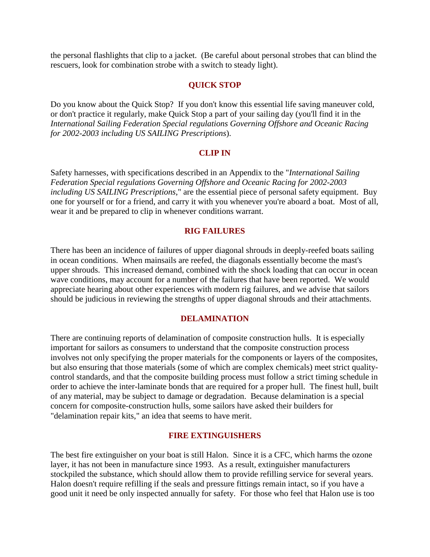the personal flashlights that clip to a jacket. (Be careful about personal strobes that can blind the rescuers, look for combination strobe with a switch to steady light).

### **QUICK STOP**

Do you know about the Quick Stop? If you don't know this essential life saving maneuver cold, or don't practice it regularly, make Quick Stop a part of your sailing day (you'll find it in the *International Sailing Federation Special regulations Governing Offshore and Oceanic Racing for 2002-2003 including US SAILING Prescriptions*).

#### **CLIP IN**

Safety harnesses, with specifications described in an Appendix to the "*International Sailing Federation Special regulations Governing Offshore and Oceanic Racing for 2002-2003 including US SAILING Prescriptions*," are the essential piece of personal safety equipment. Buy one for yourself or for a friend, and carry it with you whenever you're aboard a boat. Most of all, wear it and be prepared to clip in whenever conditions warrant.

#### **RIG FAILURES**

There has been an incidence of failures of upper diagonal shrouds in deeply-reefed boats sailing in ocean conditions. When mainsails are reefed, the diagonals essentially become the mast's upper shrouds. This increased demand, combined with the shock loading that can occur in ocean wave conditions, may account for a number of the failures that have been reported. We would appreciate hearing about other experiences with modern rig failures, and we advise that sailors should be judicious in reviewing the strengths of upper diagonal shrouds and their attachments.

#### **DELAMINATION**

There are continuing reports of delamination of composite construction hulls. It is especially important for sailors as consumers to understand that the composite construction process involves not only specifying the proper materials for the components or layers of the composites, but also ensuring that those materials (some of which are complex chemicals) meet strict qualitycontrol standards, and that the composite building process must follow a strict timing schedule in order to achieve the inter-laminate bonds that are required for a proper hull. The finest hull, built of any material, may be subject to damage or degradation. Because delamination is a special concern for composite-construction hulls, some sailors have asked their builders for "delamination repair kits," an idea that seems to have merit.

### **FIRE EXTINGUISHERS**

The best fire extinguisher on your boat is still Halon. Since it is a CFC, which harms the ozone layer, it has not been in manufacture since 1993. As a result, extinguisher manufacturers stockpiled the substance, which should allow them to provide refilling service for several years. Halon doesn't require refilling if the seals and pressure fittings remain intact, so if you have a good unit it need be only inspected annually for safety. For those who feel that Halon use is too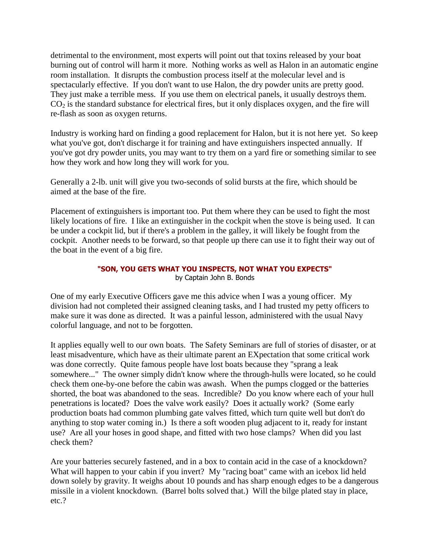detrimental to the environment, most experts will point out that toxins released by your boat burning out of control will harm it more. Nothing works as well as Halon in an automatic engine room installation. It disrupts the combustion process itself at the molecular level and is spectacularly effective. If you don't want to use Halon, the dry powder units are pretty good. They just make a terrible mess. If you use them on electrical panels, it usually destroys them.  $CO<sub>2</sub>$  is the standard substance for electrical fires, but it only displaces oxygen, and the fire will re-flash as soon as oxygen returns.

Industry is working hard on finding a good replacement for Halon, but it is not here yet. So keep what you've got, don't discharge it for training and have extinguishers inspected annually. If you've got dry powder units, you may want to try them on a yard fire or something similar to see how they work and how long they will work for you.

Generally a 2-lb. unit will give you two-seconds of solid bursts at the fire, which should be aimed at the base of the fire.

Placement of extinguishers is important too. Put them where they can be used to fight the most likely locations of fire. I like an extinguisher in the cockpit when the stove is being used. It can be under a cockpit lid, but if there's a problem in the galley, it will likely be fought from the cockpit. Another needs to be forward, so that people up there can use it to fight their way out of the boat in the event of a big fire.

#### **"SON, YOU GETS WHAT YOU INSPECTS, NOT WHAT YOU EXPECTS"** by Captain John B. Bonds

One of my early Executive Officers gave me this advice when I was a young officer. My division had not completed their assigned cleaning tasks, and I had trusted my petty officers to make sure it was done as directed. It was a painful lesson, administered with the usual Navy colorful language, and not to be forgotten.

It applies equally well to our own boats. The Safety Seminars are full of stories of disaster, or at least misadventure, which have as their ultimate parent an EXpectation that some critical work was done correctly. Quite famous people have lost boats because they "sprang a leak somewhere..." The owner simply didn't know where the through-hulls were located, so he could check them one-by-one before the cabin was awash. When the pumps clogged or the batteries shorted, the boat was abandoned to the seas. Incredible? Do you know where each of your hull penetrations is located? Does the valve work easily? Does it actually work? (Some early production boats had common plumbing gate valves fitted, which turn quite well but don't do anything to stop water coming in.) Is there a soft wooden plug adjacent to it, ready for instant use? Are all your hoses in good shape, and fitted with two hose clamps? When did you last check them?

Are your batteries securely fastened, and in a box to contain acid in the case of a knockdown? What will happen to your cabin if you invert? My "racing boat" came with an icebox lid held down solely by gravity. It weighs about 10 pounds and has sharp enough edges to be a dangerous missile in a violent knockdown. (Barrel bolts solved that.) Will the bilge plated stay in place, etc.?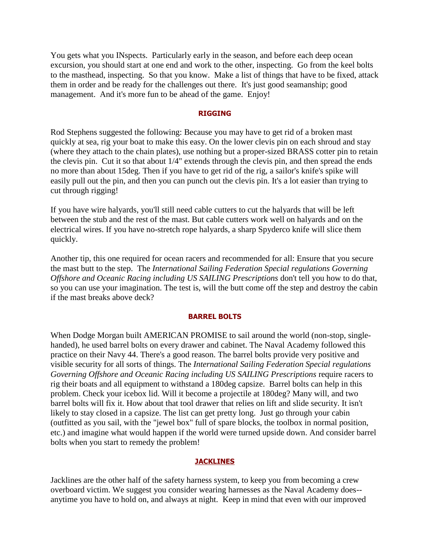You gets what you INspects. Particularly early in the season, and before each deep ocean excursion, you should start at one end and work to the other, inspecting. Go from the keel bolts to the masthead, inspecting. So that you know. Make a list of things that have to be fixed, attack them in order and be ready for the challenges out there. It's just good seamanship; good management. And it's more fun to be ahead of the game. Enjoy!

#### **RIGGING**

Rod Stephens suggested the following: Because you may have to get rid of a broken mast quickly at sea, rig your boat to make this easy. On the lower clevis pin on each shroud and stay (where they attach to the chain plates), use nothing but a proper-sized BRASS cotter pin to retain the clevis pin. Cut it so that about 1/4" extends through the clevis pin, and then spread the ends no more than about 15deg. Then if you have to get rid of the rig, a sailor's knife's spike will easily pull out the pin, and then you can punch out the clevis pin. It's a lot easier than trying to cut through rigging!

If you have wire halyards, you'll still need cable cutters to cut the halyards that will be left between the stub and the rest of the mast. But cable cutters work well on halyards and on the electrical wires. If you have no-stretch rope halyards, a sharp Spyderco knife will slice them quickly.

Another tip, this one required for ocean racers and recommended for all: Ensure that you secure the mast butt to the step. The *International Sailing Federation Special regulations Governing Offshore and Oceanic Racing including US SAILING Prescriptions* don't tell you how to do that, so you can use your imagination. The test is, will the butt come off the step and destroy the cabin if the mast breaks above deck?

#### **BARREL BOLTS**

When Dodge Morgan built AMERICAN PROMISE to sail around the world (non-stop, singlehanded), he used barrel bolts on every drawer and cabinet. The Naval Academy followed this practice on their Navy 44. There's a good reason. The barrel bolts provide very positive and visible security for all sorts of things. The *International Sailing Federation Special regulations Governing Offshore and Oceanic Racing including US SAILING Prescriptions* require racers to rig their boats and all equipment to withstand a 180deg capsize. Barrel bolts can help in this problem. Check your icebox lid. Will it become a projectile at 180deg? Many will, and two barrel bolts will fix it. How about that tool drawer that relies on lift and slide security. It isn't likely to stay closed in a capsize. The list can get pretty long. Just go through your cabin (outfitted as you sail, with the "jewel box" full of spare blocks, the toolbox in normal position, etc.) and imagine what would happen if the world were turned upside down. And consider barrel bolts when you start to remedy the problem!

#### **[JACKLINES](http://www.ussailing.org/safety/Studies/safety_tips_2.asp#Jacklines)**

Jacklines are the other half of the safety harness system, to keep you from becoming a crew overboard victim. We suggest you consider wearing harnesses as the Naval Academy does- anytime you have to hold on, and always at night. Keep in mind that even with our improved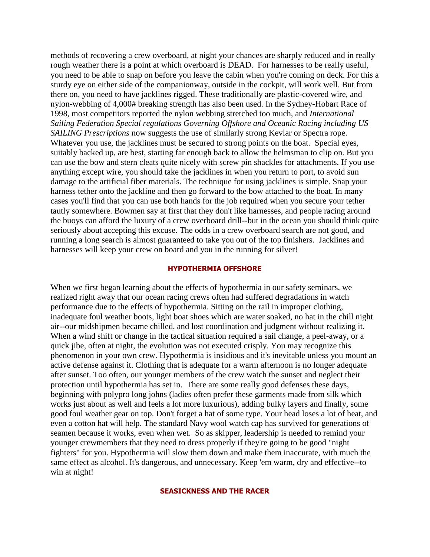methods of recovering a crew overboard, at night your chances are sharply reduced and in really rough weather there is a point at which overboard is DEAD. For harnesses to be really useful, you need to be able to snap on before you leave the cabin when you're coming on deck. For this a sturdy eye on either side of the companionway, outside in the cockpit, will work well. But from there on, you need to have jacklines rigged. These traditionally are plastic-covered wire, and nylon-webbing of 4,000# breaking strength has also been used. In the Sydney-Hobart Race of 1998, most competitors reported the nylon webbing stretched too much, and *International Sailing Federation Special regulations Governing Offshore and Oceanic Racing including US SAILING Prescriptions* now suggests the use of similarly strong Kevlar or Spectra rope. Whatever you use, the jacklines must be secured to strong points on the boat. Special eyes, suitably backed up, are best, starting far enough back to allow the helmsman to clip on. But you can use the bow and stern cleats quite nicely with screw pin shackles for attachments. If you use anything except wire, you should take the jacklines in when you return to port, to avoid sun damage to the artificial fiber materials. The technique for using jacklines is simple. Snap your harness tether onto the jackline and then go forward to the bow attached to the boat. In many cases you'll find that you can use both hands for the job required when you secure your tether tautly somewhere. Bowmen say at first that they don't like harnesses, and people racing around the buoys can afford the luxury of a crew overboard drill--but in the ocean you should think quite seriously about accepting this excuse. The odds in a crew overboard search are not good, and running a long search is almost guaranteed to take you out of the top finishers. Jacklines and harnesses will keep your crew on board and you in the running for silver!

#### **HYPOTHERMIA OFFSHORE**

When we first began learning about the effects of hypothermia in our safety seminars, we realized right away that our ocean racing crews often had suffered degradations in watch performance due to the effects of hypothermia. Sitting on the rail in improper clothing, inadequate foul weather boots, light boat shoes which are water soaked, no hat in the chill night air--our midshipmen became chilled, and lost coordination and judgment without realizing it. When a wind shift or change in the tactical situation required a sail change, a peel-away, or a quick jibe, often at night, the evolution was not executed crisply. You may recognize this phenomenon in your own crew. Hypothermia is insidious and it's inevitable unless you mount an active defense against it. Clothing that is adequate for a warm afternoon is no longer adequate after sunset. Too often, our younger members of the crew watch the sunset and neglect their protection until hypothermia has set in. There are some really good defenses these days, beginning with polypro long johns (ladies often prefer these garments made from silk which works just about as well and feels a lot more luxurious), adding bulky layers and finally, some good foul weather gear on top. Don't forget a hat of some type. Your head loses a lot of heat, and even a cotton hat will help. The standard Navy wool watch cap has survived for generations of seamen because it works, even when wet. So as skipper, leadership is needed to remind your younger crewmembers that they need to dress properly if they're going to be good "night fighters" for you. Hypothermia will slow them down and make them inaccurate, with much the same effect as alcohol. It's dangerous, and unnecessary. Keep 'em warm, dry and effective--to win at night!

#### **SEASICKNESS AND THE RACER**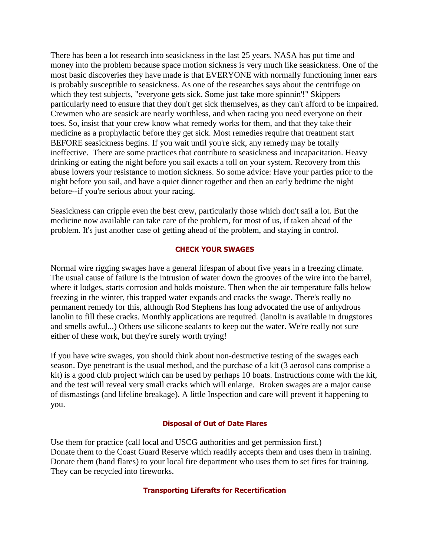There has been a lot research into seasickness in the last 25 years. NASA has put time and money into the problem because space motion sickness is very much like seasickness. One of the most basic discoveries they have made is that EVERYONE with normally functioning inner ears is probably susceptible to seasickness. As one of the researches says about the centrifuge on which they test subjects, "everyone gets sick. Some just take more spinnin'!" Skippers particularly need to ensure that they don't get sick themselves, as they can't afford to be impaired. Crewmen who are seasick are nearly worthless, and when racing you need everyone on their toes. So, insist that your crew know what remedy works for them, and that they take their medicine as a prophylactic before they get sick. Most remedies require that treatment start BEFORE seasickness begins. If you wait until you're sick, any remedy may be totally ineffective. There are some practices that contribute to seasickness and incapacitation. Heavy drinking or eating the night before you sail exacts a toll on your system. Recovery from this abuse lowers your resistance to motion sickness. So some advice: Have your parties prior to the night before you sail, and have a quiet dinner together and then an early bedtime the night before--if you're serious about your racing.

Seasickness can cripple even the best crew, particularly those which don't sail a lot. But the medicine now available can take care of the problem, for most of us, if taken ahead of the problem. It's just another case of getting ahead of the problem, and staying in control.

### **CHECK YOUR SWAGES**

Normal wire rigging swages have a general lifespan of about five years in a freezing climate. The usual cause of failure is the intrusion of water down the grooves of the wire into the barrel, where it lodges, starts corrosion and holds moisture. Then when the air temperature falls below freezing in the winter, this trapped water expands and cracks the swage. There's really no permanent remedy for this, although Rod Stephens has long advocated the use of anhydrous lanolin to fill these cracks. Monthly applications are required. (lanolin is available in drugstores and smells awful...) Others use silicone sealants to keep out the water. We're really not sure either of these work, but they're surely worth trying!

If you have wire swages, you should think about non-destructive testing of the swages each season. Dye penetrant is the usual method, and the purchase of a kit (3 aerosol cans comprise a kit) is a good club project which can be used by perhaps 10 boats. Instructions come with the kit, and the test will reveal very small cracks which will enlarge. Broken swages are a major cause of dismastings (and lifeline breakage). A little Inspection and care will prevent it happening to you.

#### **Disposal of Out of Date Flares**

Use them for practice (call local and USCG authorities and get permission first.) Donate them to the Coast Guard Reserve which readily accepts them and uses them in training. Donate them (hand flares) to your local fire department who uses them to set fires for training. They can be recycled into fireworks.

#### **Transporting Liferafts for Recertification**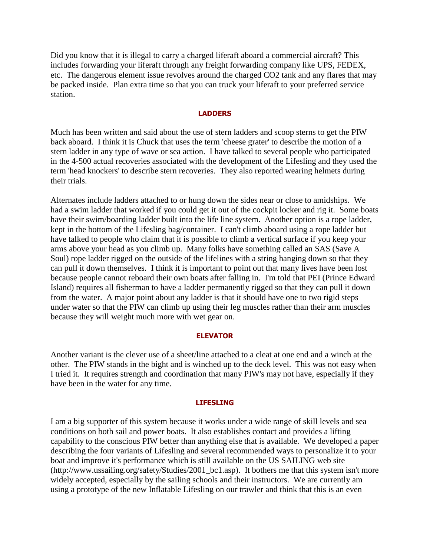Did you know that it is illegal to carry a charged liferaft aboard a commercial aircraft? This includes forwarding your liferaft through any freight forwarding company like UPS, FEDEX, etc. The dangerous element issue revolves around the charged CO2 tank and any flares that may be packed inside. Plan extra time so that you can truck your liferaft to your preferred service station.

#### **LADDERS**

Much has been written and said about the use of stern ladders and scoop sterns to get the PIW back aboard. I think it is Chuck that uses the term 'cheese grater' to describe the motion of a stern ladder in any type of wave or sea action. I have talked to several people who participated in the 4-500 actual recoveries associated with the development of the Lifesling and they used the term 'head knockers' to describe stern recoveries. They also reported wearing helmets during their trials.

Alternates include ladders attached to or hung down the sides near or close to amidships. We had a swim ladder that worked if you could get it out of the cockpit locker and rig it. Some boats have their swim/boarding ladder built into the life line system. Another option is a rope ladder, kept in the bottom of the Lifesling bag/container. I can't climb aboard using a rope ladder but have talked to people who claim that it is possible to climb a vertical surface if you keep your arms above your head as you climb up. Many folks have something called an SAS (Save A Soul) rope ladder rigged on the outside of the lifelines with a string hanging down so that they can pull it down themselves. I think it is important to point out that many lives have been lost because people cannot reboard their own boats after falling in. I'm told that PEI (Prince Edward Island) requires all fisherman to have a ladder permanently rigged so that they can pull it down from the water. A major point about any ladder is that it should have one to two rigid steps under water so that the PIW can climb up using their leg muscles rather than their arm muscles because they will weight much more with wet gear on.

#### **ELEVATOR**

Another variant is the clever use of a sheet/line attached to a cleat at one end and a winch at the other. The PIW stands in the bight and is winched up to the deck level. This was not easy when I tried it. It requires strength and coordination that many PIW's may not have, especially if they have been in the water for any time.

#### **LIFESLING**

I am a big supporter of this system because it works under a wide range of skill levels and sea conditions on both sail and power boats. It also establishes contact and provides a lifting capability to the conscious PIW better than anything else that is available. We developed a paper describing the four variants of Lifesling and several recommended ways to personalize it to your boat and improve it's performance which is still available on the US SAILING web site (http://www.ussailing.org/safety/Studies/2001\_bc1.asp). It bothers me that this system isn't more widely accepted, especially by the sailing schools and their instructors. We are currently am using a prototype of the new Inflatable Lifesling on our trawler and think that this is an even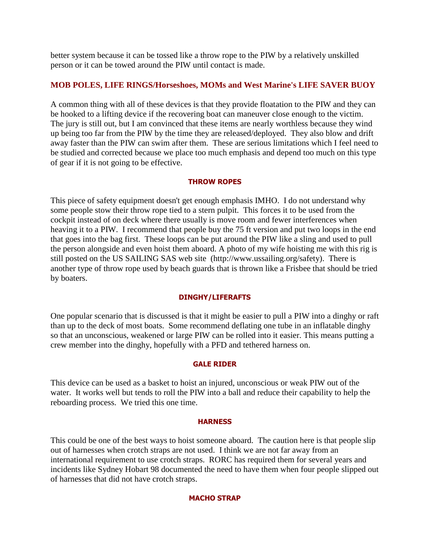better system because it can be tossed like a throw rope to the PIW by a relatively unskilled person or it can be towed around the PIW until contact is made.

## **MOB POLES, LIFE RINGS/Horseshoes, MOMs and West Marine's LIFE SAVER BUOY**

A common thing with all of these devices is that they provide floatation to the PIW and they can be hooked to a lifting device if the recovering boat can maneuver close enough to the victim. The jury is still out, but I am convinced that these items are nearly worthless because they wind up being too far from the PIW by the time they are released/deployed. They also blow and drift away faster than the PIW can swim after them. These are serious limitations which I feel need to be studied and corrected because we place too much emphasis and depend too much on this type of gear if it is not going to be effective.

## **THROW ROPES**

This piece of safety equipment doesn't get enough emphasis IMHO. I do not understand why some people stow their throw rope tied to a stern pulpit. This forces it to be used from the cockpit instead of on deck where there usually is move room and fewer interferences when heaving it to a PIW. I recommend that people buy the 75 ft version and put two loops in the end that goes into the bag first. These loops can be put around the PIW like a sling and used to pull the person alongside and even hoist them aboard. A photo of my wife hoisting me with this rig is still posted on the US SAILING SAS web site (http://www.ussailing.org/safety). There is another type of throw rope used by beach guards that is thrown like a Frisbee that should be tried by boaters.

### **DINGHY/LIFERAFTS**

One popular scenario that is discussed is that it might be easier to pull a PIW into a dinghy or raft than up to the deck of most boats. Some recommend deflating one tube in an inflatable dinghy so that an unconscious, weakened or large PIW can be rolled into it easier. This means putting a crew member into the dinghy, hopefully with a PFD and tethered harness on.

### **GALE RIDER**

This device can be used as a basket to hoist an injured, unconscious or weak PIW out of the water. It works well but tends to roll the PIW into a ball and reduce their capability to help the reboarding process. We tried this one time.

### **HARNESS**

This could be one of the best ways to hoist someone aboard. The caution here is that people slip out of harnesses when crotch straps are not used. I think we are not far away from an international requirement to use crotch straps. RORC has required them for several years and incidents like Sydney Hobart 98 documented the need to have them when four people slipped out of harnesses that did not have crotch straps.

### **MACHO STRAP**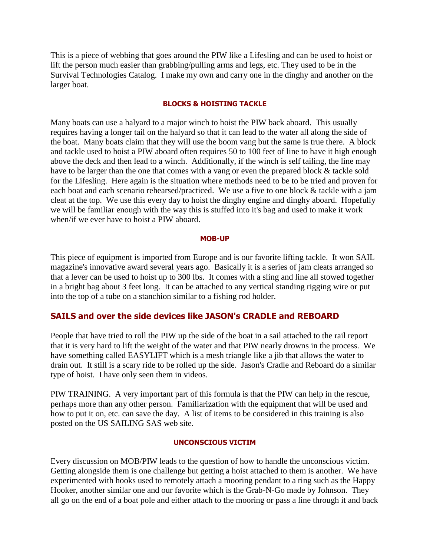This is a piece of webbing that goes around the PIW like a Lifesling and can be used to hoist or lift the person much easier than grabbing/pulling arms and legs, etc. They used to be in the Survival Technologies Catalog. I make my own and carry one in the dinghy and another on the larger boat.

#### **BLOCKS & HOISTING TACKLE**

Many boats can use a halyard to a major winch to hoist the PIW back aboard. This usually requires having a longer tail on the halyard so that it can lead to the water all along the side of the boat. Many boats claim that they will use the boom vang but the same is true there. A block and tackle used to hoist a PIW aboard often requires 50 to 100 feet of line to have it high enough above the deck and then lead to a winch. Additionally, if the winch is self tailing, the line may have to be larger than the one that comes with a vang or even the prepared block & tackle sold for the Lifesling. Here again is the situation where methods need to be to be tried and proven for each boat and each scenario rehearsed/practiced. We use a five to one block & tackle with a jam cleat at the top. We use this every day to hoist the dinghy engine and dinghy aboard. Hopefully we will be familiar enough with the way this is stuffed into it's bag and used to make it work when/if we ever have to hoist a PIW aboard.

#### **MOB-UP**

This piece of equipment is imported from Europe and is our favorite lifting tackle. It won SAIL magazine's innovative award several years ago. Basically it is a series of jam cleats arranged so that a lever can be used to hoist up to 300 lbs. It comes with a sling and line all stowed together in a bright bag about 3 feet long. It can be attached to any vertical standing rigging wire or put into the top of a tube on a stanchion similar to a fishing rod holder.

## **SAILS and over the side devices like JASON's CRADLE and REBOARD**

People that have tried to roll the PIW up the side of the boat in a sail attached to the rail report that it is very hard to lift the weight of the water and that PIW nearly drowns in the process. We have something called EASYLIFT which is a mesh triangle like a jib that allows the water to drain out. It still is a scary ride to be rolled up the side. Jason's Cradle and Reboard do a similar type of hoist. I have only seen them in videos.

PIW TRAINING. A very important part of this formula is that the PIW can help in the rescue, perhaps more than any other person. Familiarization with the equipment that will be used and how to put it on, etc. can save the day. A list of items to be considered in this training is also posted on the US SAILING SAS web site.

#### **UNCONSCIOUS VICTIM**

Every discussion on MOB/PIW leads to the question of how to handle the unconscious victim. Getting alongside them is one challenge but getting a hoist attached to them is another. We have experimented with hooks used to remotely attach a mooring pendant to a ring such as the Happy Hooker, another similar one and our favorite which is the Grab-N-Go made by Johnson. They all go on the end of a boat pole and either attach to the mooring or pass a line through it and back